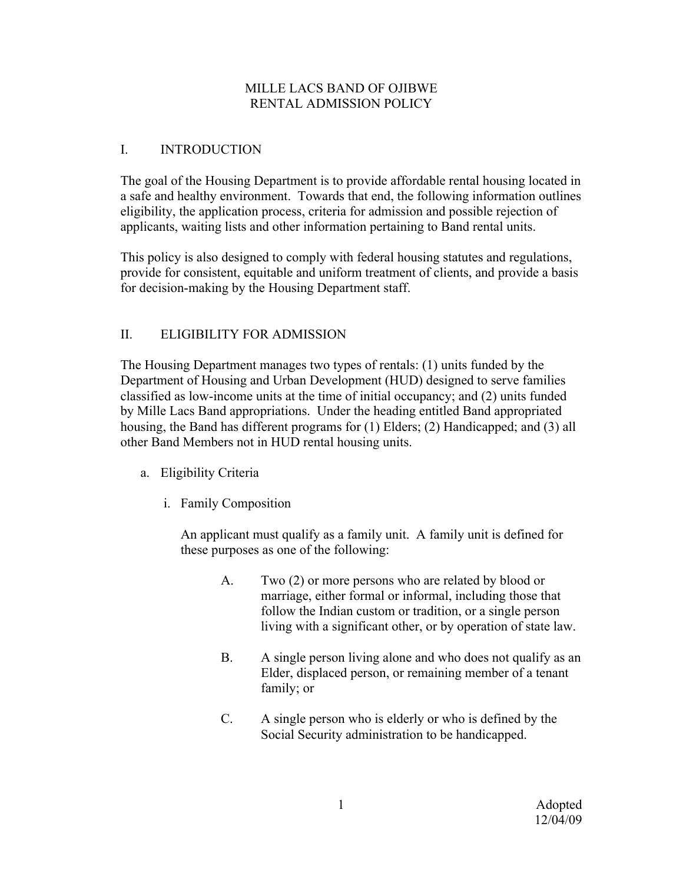## MILLE LACS BAND OF OJIBWE RENTAL ADMISSION POLICY

## I. INTRODUCTION

The goal of the Housing Department is to provide affordable rental housing located in a safe and healthy environment. Towards that end, the following information outlines eligibility, the application process, criteria for admission and possible rejection of applicants, waiting lists and other information pertaining to Band rental units.

This policy is also designed to comply with federal housing statutes and regulations, provide for consistent, equitable and uniform treatment of clients, and provide a basis for decision-making by the Housing Department staff.

## II. ELIGIBILITY FOR ADMISSION

The Housing Department manages two types of rentals: (1) units funded by the Department of Housing and Urban Development (HUD) designed to serve families classified as low-income units at the time of initial occupancy; and (2) units funded by Mille Lacs Band appropriations. Under the heading entitled Band appropriated housing, the Band has different programs for (1) Elders; (2) Handicapped; and (3) all other Band Members not in HUD rental housing units.

- a. Eligibility Criteria
	- i. Family Composition

An applicant must qualify as a family unit. A family unit is defined for these purposes as one of the following:

- A. Two (2) or more persons who are related by blood or marriage, either formal or informal, including those that follow the Indian custom or tradition, or a single person living with a significant other, or by operation of state law.
- B. A single person living alone and who does not qualify as an Elder, displaced person, or remaining member of a tenant family; or
- C. A single person who is elderly or who is defined by the Social Security administration to be handicapped.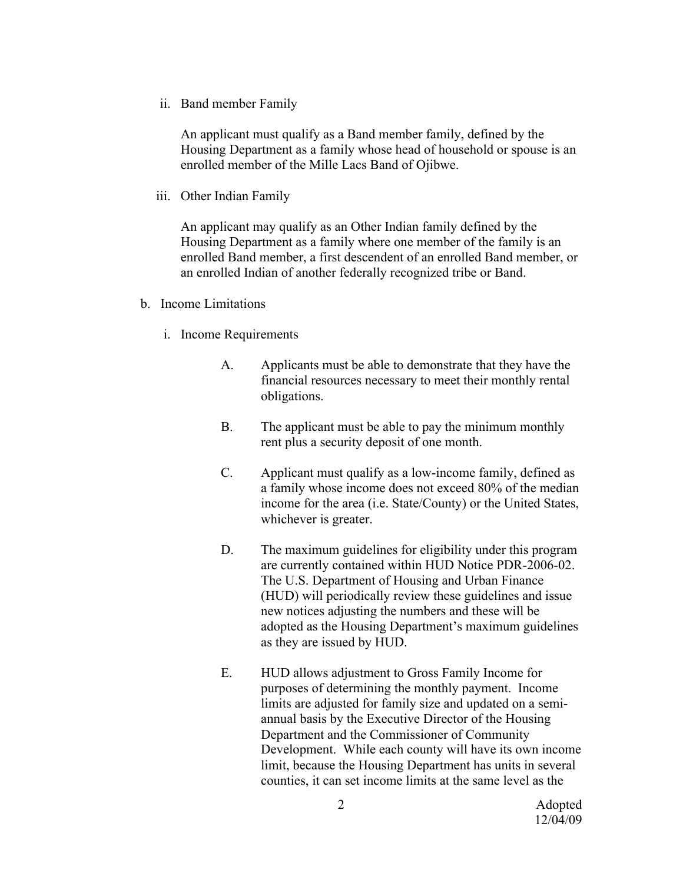ii. Band member Family

An applicant must qualify as a Band member family, defined by the Housing Department as a family whose head of household or spouse is an enrolled member of the Mille Lacs Band of Ojibwe.

iii. Other Indian Family

An applicant may qualify as an Other Indian family defined by the Housing Department as a family where one member of the family is an enrolled Band member, a first descendent of an enrolled Band member, or an enrolled Indian of another federally recognized tribe or Band.

- b. Income Limitations
	- i. Income Requirements
		- A. Applicants must be able to demonstrate that they have the financial resources necessary to meet their monthly rental obligations.
		- B. The applicant must be able to pay the minimum monthly rent plus a security deposit of one month.
		- C. Applicant must qualify as a low-income family, defined as a family whose income does not exceed 80% of the median income for the area (i.e. State/County) or the United States, whichever is greater.
		- D. The maximum guidelines for eligibility under this program are currently contained within HUD Notice PDR-2006-02. The U.S. Department of Housing and Urban Finance (HUD) will periodically review these guidelines and issue new notices adjusting the numbers and these will be adopted as the Housing Department's maximum guidelines as they are issued by HUD.
		- E. HUD allows adjustment to Gross Family Income for purposes of determining the monthly payment. Income limits are adjusted for family size and updated on a semiannual basis by the Executive Director of the Housing Department and the Commissioner of Community Development. While each county will have its own income limit, because the Housing Department has units in several counties, it can set income limits at the same level as the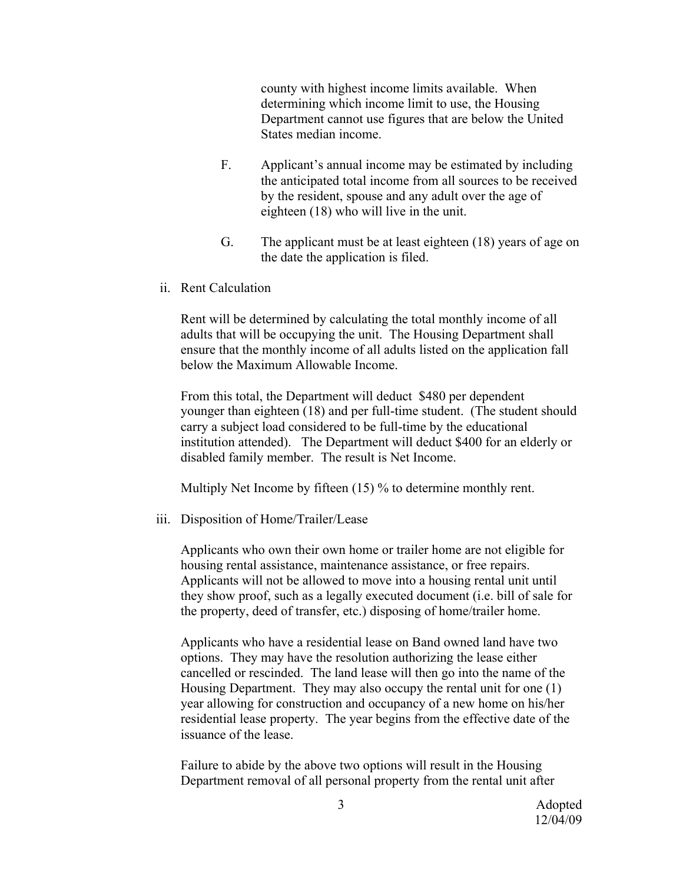county with highest income limits available. When determining which income limit to use, the Housing Department cannot use figures that are below the United States median income.

- F. Applicant's annual income may be estimated by including the anticipated total income from all sources to be received by the resident, spouse and any adult over the age of eighteen (18) who will live in the unit.
- G. The applicant must be at least eighteen (18) years of age on the date the application is filed.
- ii. Rent Calculation

Rent will be determined by calculating the total monthly income of all adults that will be occupying the unit. The Housing Department shall ensure that the monthly income of all adults listed on the application fall below the Maximum Allowable Income.

From this total, the Department will deduct \$480 per dependent younger than eighteen (18) and per full-time student. (The student should carry a subject load considered to be full-time by the educational institution attended). The Department will deduct \$400 for an elderly or disabled family member. The result is Net Income.

Multiply Net Income by fifteen (15) % to determine monthly rent.

iii. Disposition of Home/Trailer/Lease

Applicants who own their own home or trailer home are not eligible for housing rental assistance, maintenance assistance, or free repairs. Applicants will not be allowed to move into a housing rental unit until they show proof, such as a legally executed document (i.e. bill of sale for the property, deed of transfer, etc.) disposing of home/trailer home.

Applicants who have a residential lease on Band owned land have two options. They may have the resolution authorizing the lease either cancelled or rescinded. The land lease will then go into the name of the Housing Department. They may also occupy the rental unit for one (1) year allowing for construction and occupancy of a new home on his/her residential lease property. The year begins from the effective date of the issuance of the lease.

Failure to abide by the above two options will result in the Housing Department removal of all personal property from the rental unit after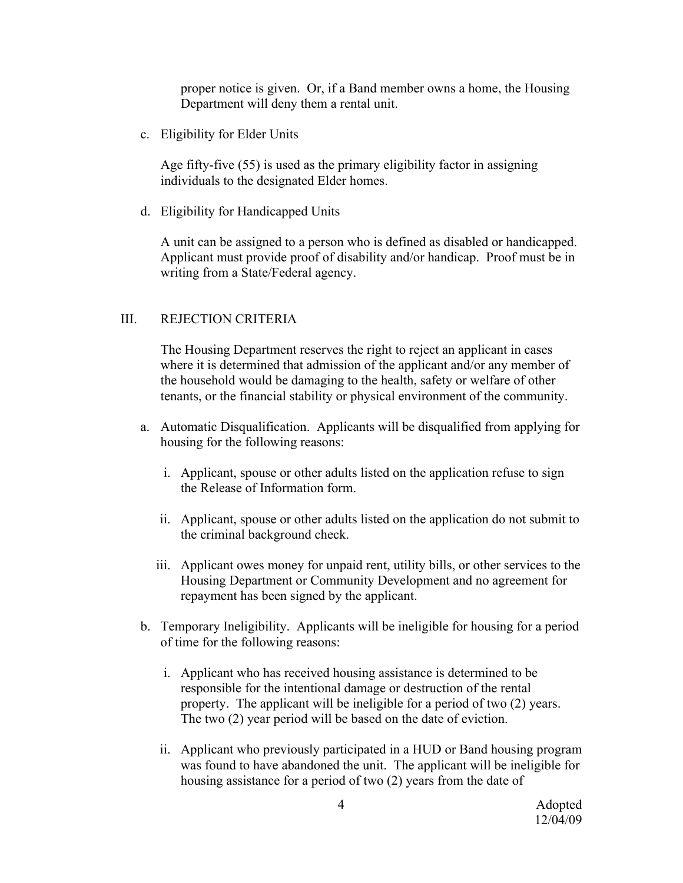proper notice is given. Or, if a Band member owns a home, the Housing Department will deny them a rental unit.

c. Eligibility for Elder Units

Age fifty-five (55) is used as the primary eligibility factor in assigning individuals to the designated Elder homes.

d. Eligibility for Handicapped Units

A unit can be assigned to a person who is defined as disabled or handicapped. Applicant must provide proof of disability and/or handicap. Proof must be in writing from a State/Federal agency.

## III. REJECTION CRITERIA

The Housing Department reserves the right to reject an applicant in cases where it is determined that admission of the applicant and/or any member of the household would be damaging to the health, safety or welfare of other tenants, or the financial stability or physical environment of the community.

- a. Automatic Disqualification. Applicants will be disqualified from applying for housing for the following reasons:
	- i. Applicant, spouse or other adults listed on the application refuse to sign the Release of Information form.
	- ii. Applicant, spouse or other adults listed on the application do not submit to the criminal background check.
	- iii. Applicant owes money for unpaid rent, utility bills, or other services to the Housing Department or Community Development and no agreement for repayment has been signed by the applicant.
- b. Temporary Ineligibility. Applicants will be ineligible for housing for a period of time for the following reasons:
	- i. Applicant who has received housing assistance is determined to be responsible for the intentional damage or destruction of the rental property. The applicant will be ineligible for a period of two (2) years. The two (2) year period will be based on the date of eviction.
	- ii. Applicant who previously participated in a HUD or Band housing program was found to have abandoned the unit. The applicant will be ineligible for housing assistance for a period of two (2) years from the date of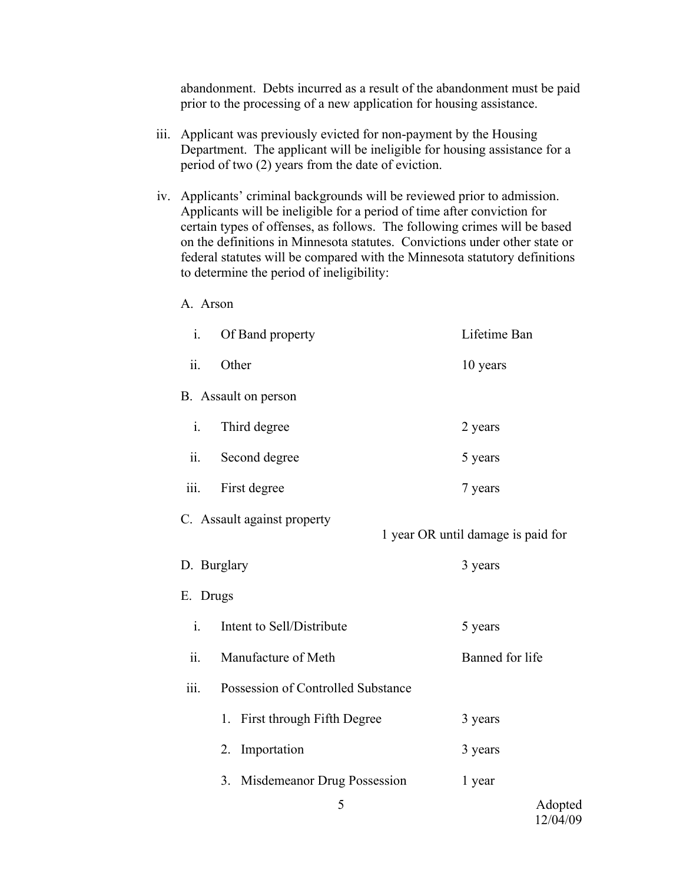abandonment. Debts incurred as a result of the abandonment must be paid prior to the processing of a new application for housing assistance.

- iii. Applicant was previously evicted for non-payment by the Housing Department. The applicant will be ineligible for housing assistance for a period of two (2) years from the date of eviction.
- iv. Applicants' criminal backgrounds will be reviewed prior to admission. Applicants will be ineligible for a period of time after conviction for certain types of offenses, as follows. The following crimes will be based on the definitions in Minnesota statutes. Convictions under other state or federal statutes will be compared with the Minnesota statutory definitions to determine the period of ineligibility:

A. Arson

i. Of Band property Lifetime Ban ii. Other 10 years B. Assault on person i. Third degree 2 years ii. Second degree 5 years iii. First degree 7 years C. Assault against property 1 year OR until damage is paid for D. Burglary 3 years 3 years E. Drugs i. Intent to Sell/Distribute 5 years ii. Manufacture of Meth Banned for life iii. Possession of Controlled Substance 1. First through Fifth Degree 3 years 2. Importation 3 years 3. Misdemeanor Drug Possession 1 year

Adopted 12/04/09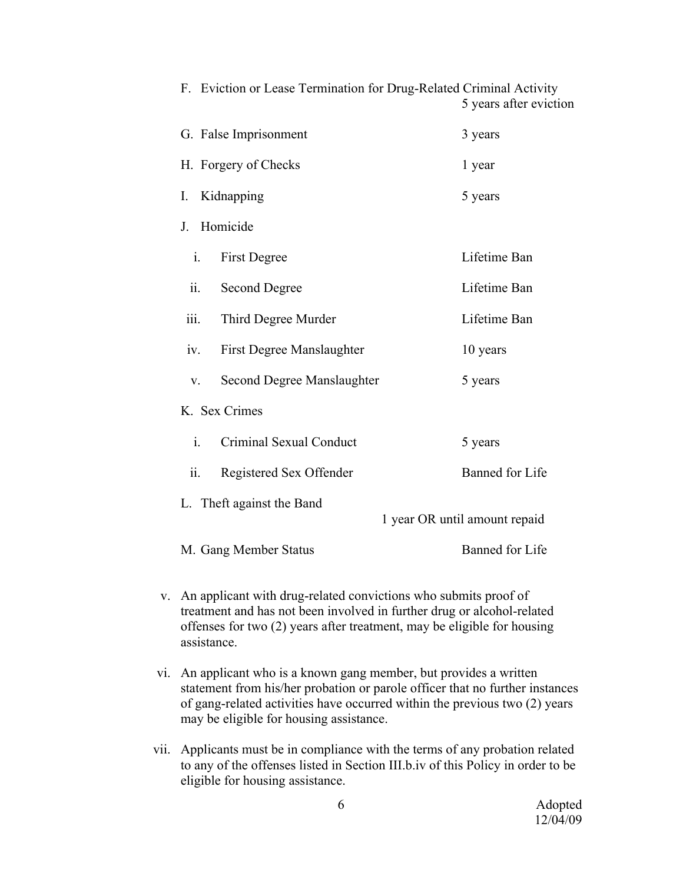|                                           | 5 years after eviction        |
|-------------------------------------------|-------------------------------|
| G. False Imprisonment                     | 3 years                       |
| H. Forgery of Checks                      | 1 year                        |
| Kidnapping<br>I.                          | 5 years                       |
| Homicide<br>$J_{\cdot}$                   |                               |
| i.<br>First Degree                        | Lifetime Ban                  |
| Second Degree<br>$\ddot{\mathbf{1}}$      | Lifetime Ban                  |
| iii.<br>Third Degree Murder               | Lifetime Ban                  |
| First Degree Manslaughter<br>iv.          | 10 years                      |
| Second Degree Manslaughter<br>$V_{r}$     | 5 years                       |
| K. Sex Crimes                             |                               |
| $\mathbf{i}$ .<br>Criminal Sexual Conduct | 5 years                       |
| ii.<br>Registered Sex Offender            | Banned for Life               |
| L. Theft against the Band                 | 1 year OR until amount repaid |
| M. Gang Member Status                     | <b>Banned</b> for Life        |

F. Eviction or Lease Termination for Drug-Related Criminal Activity

- v. An applicant with drug-related convictions who submits proof of treatment and has not been involved in further drug or alcohol-related offenses for two (2) years after treatment, may be eligible for housing assistance.
- vi. An applicant who is a known gang member, but provides a written statement from his/her probation or parole officer that no further instances of gang-related activities have occurred within the previous two (2) years may be eligible for housing assistance.
- vii. Applicants must be in compliance with the terms of any probation related to any of the offenses listed in Section III.b.iv of this Policy in order to be eligible for housing assistance.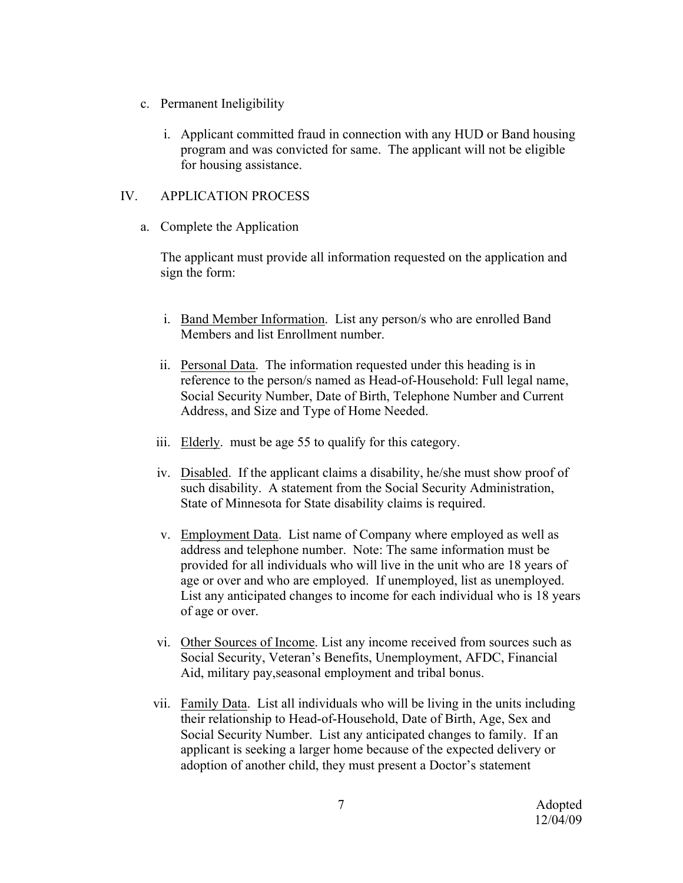- c. Permanent Ineligibility
	- i. Applicant committed fraud in connection with any HUD or Band housing program and was convicted for same. The applicant will not be eligible for housing assistance.

# IV. APPLICATION PROCESS

a. Complete the Application

The applicant must provide all information requested on the application and sign the form:

- i. Band Member Information. List any person/s who are enrolled Band Members and list Enrollment number.
- ii. Personal Data. The information requested under this heading is in reference to the person/s named as Head-of-Household: Full legal name, Social Security Number, Date of Birth, Telephone Number and Current Address, and Size and Type of Home Needed.
- iii. Elderly. must be age 55 to qualify for this category.
- iv. Disabled. If the applicant claims a disability, he/she must show proof of such disability. A statement from the Social Security Administration, State of Minnesota for State disability claims is required.
- v. Employment Data. List name of Company where employed as well as address and telephone number. Note: The same information must be provided for all individuals who will live in the unit who are 18 years of age or over and who are employed. If unemployed, list as unemployed. List any anticipated changes to income for each individual who is 18 years of age or over.
- vi. Other Sources of Income. List any income received from sources such as Social Security, Veteran's Benefits, Unemployment, AFDC, Financial Aid, military pay,seasonal employment and tribal bonus.
- vii. Family Data. List all individuals who will be living in the units including their relationship to Head-of-Household, Date of Birth, Age, Sex and Social Security Number. List any anticipated changes to family. If an applicant is seeking a larger home because of the expected delivery or adoption of another child, they must present a Doctor's statement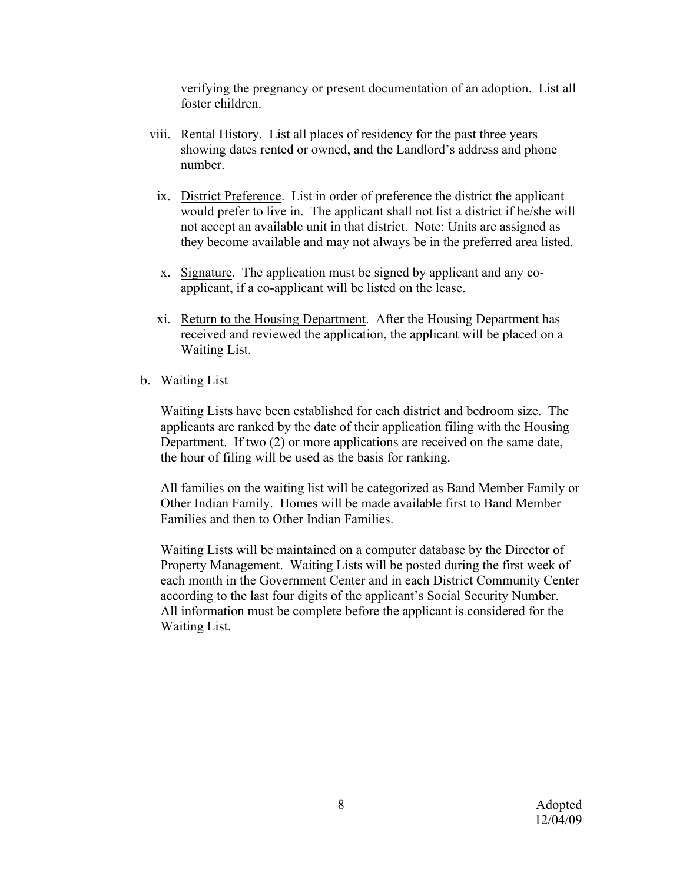verifying the pregnancy or present documentation of an adoption. List all foster children.

- viii. Rental History. List all places of residency for the past three years showing dates rented or owned, and the Landlord's address and phone number.
	- ix. District Preference. List in order of preference the district the applicant would prefer to live in. The applicant shall not list a district if he/she will not accept an available unit in that district. Note: Units are assigned as they become available and may not always be in the preferred area listed.
	- x. Signature. The application must be signed by applicant and any coapplicant, if a co-applicant will be listed on the lease.
	- xi. Return to the Housing Department. After the Housing Department has received and reviewed the application, the applicant will be placed on a Waiting List.
- b. Waiting List

Waiting Lists have been established for each district and bedroom size. The applicants are ranked by the date of their application filing with the Housing Department. If two (2) or more applications are received on the same date, the hour of filing will be used as the basis for ranking.

All families on the waiting list will be categorized as Band Member Family or Other Indian Family. Homes will be made available first to Band Member Families and then to Other Indian Families.

Waiting Lists will be maintained on a computer database by the Director of Property Management. Waiting Lists will be posted during the first week of each month in the Government Center and in each District Community Center according to the last four digits of the applicant's Social Security Number. All information must be complete before the applicant is considered for the Waiting List.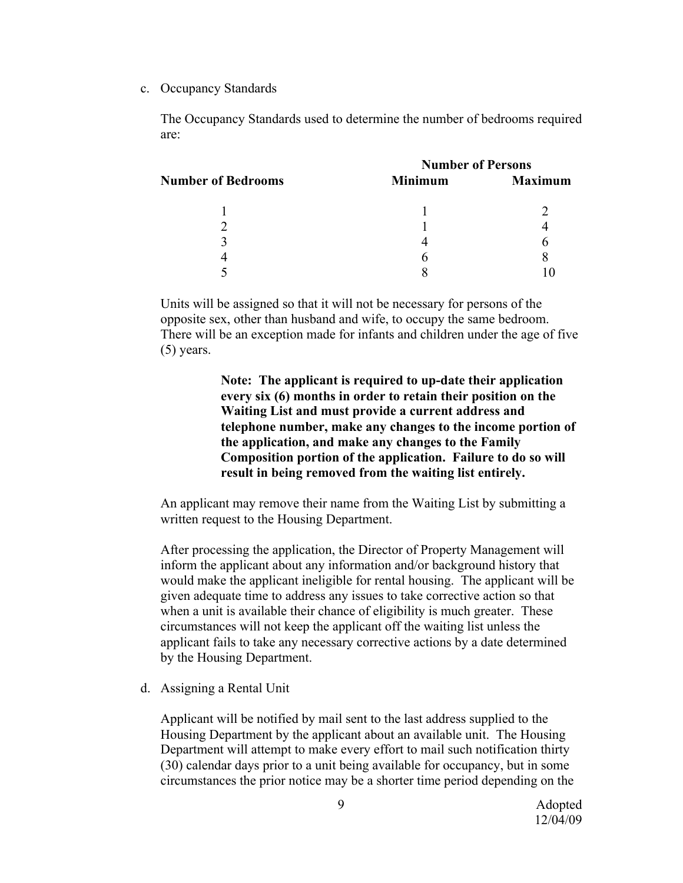c. Occupancy Standards

The Occupancy Standards used to determine the number of bedrooms required are:

| <b>Number of Bedrooms</b> | <b>Number of Persons</b> |                |
|---------------------------|--------------------------|----------------|
|                           | <b>Minimum</b>           | <b>Maximum</b> |
|                           |                          |                |
|                           |                          |                |
|                           |                          |                |
|                           |                          |                |
|                           |                          |                |
|                           |                          |                |

Units will be assigned so that it will not be necessary for persons of the opposite sex, other than husband and wife, to occupy the same bedroom. There will be an exception made for infants and children under the age of five (5) years.

> **Note: The applicant is required to up-date their application every six (6) months in order to retain their position on the Waiting List and must provide a current address and telephone number, make any changes to the income portion of the application, and make any changes to the Family Composition portion of the application. Failure to do so will result in being removed from the waiting list entirely.**

An applicant may remove their name from the Waiting List by submitting a written request to the Housing Department.

After processing the application, the Director of Property Management will inform the applicant about any information and/or background history that would make the applicant ineligible for rental housing. The applicant will be given adequate time to address any issues to take corrective action so that when a unit is available their chance of eligibility is much greater. These circumstances will not keep the applicant off the waiting list unless the applicant fails to take any necessary corrective actions by a date determined by the Housing Department.

d. Assigning a Rental Unit

Applicant will be notified by mail sent to the last address supplied to the Housing Department by the applicant about an available unit. The Housing Department will attempt to make every effort to mail such notification thirty (30) calendar days prior to a unit being available for occupancy, but in some circumstances the prior notice may be a shorter time period depending on the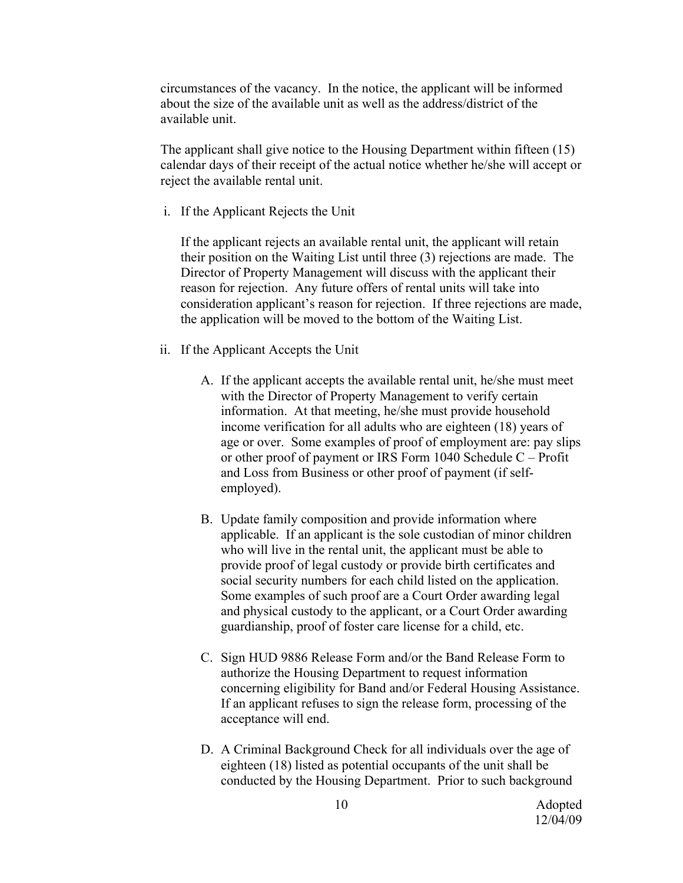circumstances of the vacancy. In the notice, the applicant will be informed about the size of the available unit as well as the address/district of the available unit.

The applicant shall give notice to the Housing Department within fifteen (15) calendar days of their receipt of the actual notice whether he/she will accept or reject the available rental unit.

i. If the Applicant Rejects the Unit

If the applicant rejects an available rental unit, the applicant will retain their position on the Waiting List until three (3) rejections are made. The Director of Property Management will discuss with the applicant their reason for rejection. Any future offers of rental units will take into consideration applicant's reason for rejection. If three rejections are made, the application will be moved to the bottom of the Waiting List.

- ii. If the Applicant Accepts the Unit
	- A. If the applicant accepts the available rental unit, he/she must meet with the Director of Property Management to verify certain information. At that meeting, he/she must provide household income verification for all adults who are eighteen (18) years of age or over. Some examples of proof of employment are: pay slips or other proof of payment or IRS Form 1040 Schedule C – Profit and Loss from Business or other proof of payment (if selfemployed).
	- B. Update family composition and provide information where applicable. If an applicant is the sole custodian of minor children who will live in the rental unit, the applicant must be able to provide proof of legal custody or provide birth certificates and social security numbers for each child listed on the application. Some examples of such proof are a Court Order awarding legal and physical custody to the applicant, or a Court Order awarding guardianship, proof of foster care license for a child, etc.
	- C. Sign HUD 9886 Release Form and/or the Band Release Form to authorize the Housing Department to request information concerning eligibility for Band and/or Federal Housing Assistance. If an applicant refuses to sign the release form, processing of the acceptance will end.
	- D. A Criminal Background Check for all individuals over the age of eighteen (18) listed as potential occupants of the unit shall be conducted by the Housing Department. Prior to such background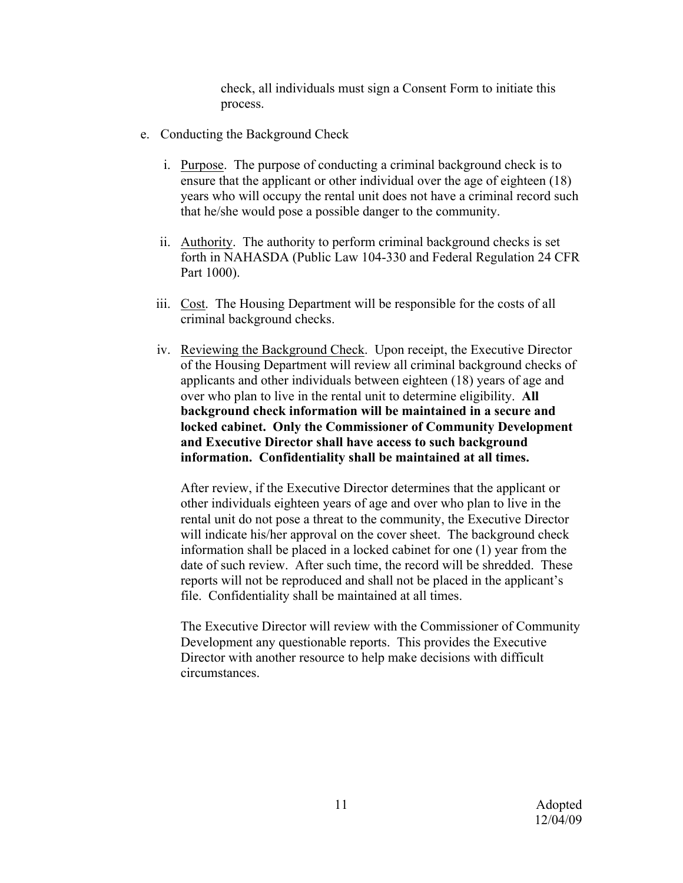check, all individuals must sign a Consent Form to initiate this process.

- e. Conducting the Background Check
	- i. Purpose. The purpose of conducting a criminal background check is to ensure that the applicant or other individual over the age of eighteen (18) years who will occupy the rental unit does not have a criminal record such that he/she would pose a possible danger to the community.
	- ii. Authority. The authority to perform criminal background checks is set forth in NAHASDA (Public Law 104-330 and Federal Regulation 24 CFR Part 1000).
	- iii. Cost. The Housing Department will be responsible for the costs of all criminal background checks.
	- iv. Reviewing the Background Check. Upon receipt, the Executive Director of the Housing Department will review all criminal background checks of applicants and other individuals between eighteen (18) years of age and over who plan to live in the rental unit to determine eligibility. **All background check information will be maintained in a secure and locked cabinet. Only the Commissioner of Community Development and Executive Director shall have access to such background information. Confidentiality shall be maintained at all times.**

After review, if the Executive Director determines that the applicant or other individuals eighteen years of age and over who plan to live in the rental unit do not pose a threat to the community, the Executive Director will indicate his/her approval on the cover sheet. The background check information shall be placed in a locked cabinet for one (1) year from the date of such review. After such time, the record will be shredded. These reports will not be reproduced and shall not be placed in the applicant's file. Confidentiality shall be maintained at all times.

The Executive Director will review with the Commissioner of Community Development any questionable reports. This provides the Executive Director with another resource to help make decisions with difficult circumstances.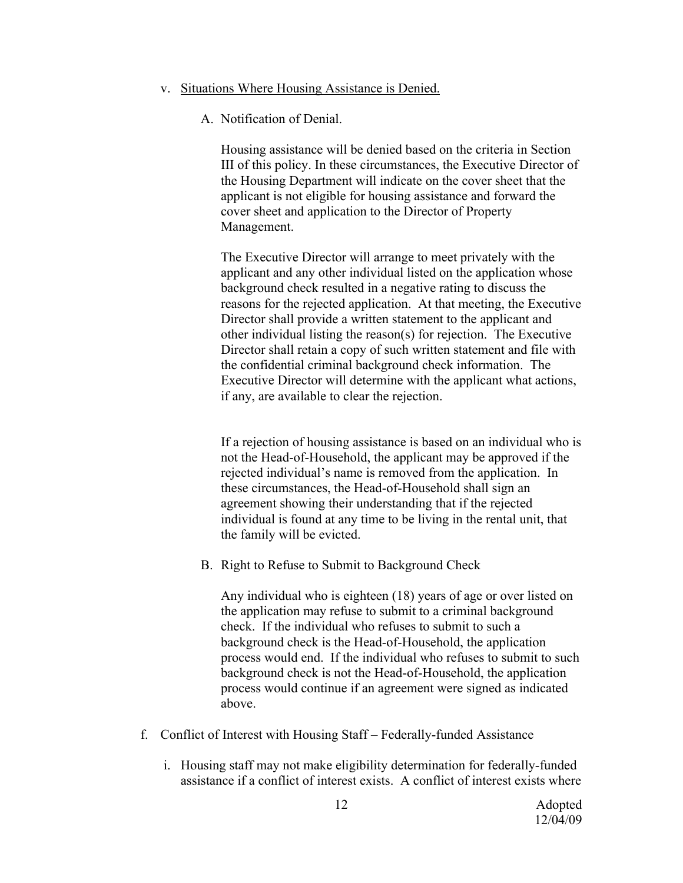#### v. Situations Where Housing Assistance is Denied.

A. Notification of Denial.

Housing assistance will be denied based on the criteria in Section III of this policy. In these circumstances, the Executive Director of the Housing Department will indicate on the cover sheet that the applicant is not eligible for housing assistance and forward the cover sheet and application to the Director of Property Management.

The Executive Director will arrange to meet privately with the applicant and any other individual listed on the application whose background check resulted in a negative rating to discuss the reasons for the rejected application. At that meeting, the Executive Director shall provide a written statement to the applicant and other individual listing the reason(s) for rejection. The Executive Director shall retain a copy of such written statement and file with the confidential criminal background check information. The Executive Director will determine with the applicant what actions, if any, are available to clear the rejection.

If a rejection of housing assistance is based on an individual who is not the Head-of-Household, the applicant may be approved if the rejected individual's name is removed from the application. In these circumstances, the Head-of-Household shall sign an agreement showing their understanding that if the rejected individual is found at any time to be living in the rental unit, that the family will be evicted.

B. Right to Refuse to Submit to Background Check

Any individual who is eighteen (18) years of age or over listed on the application may refuse to submit to a criminal background check. If the individual who refuses to submit to such a background check is the Head-of-Household, the application process would end. If the individual who refuses to submit to such background check is not the Head-of-Household, the application process would continue if an agreement were signed as indicated above.

- f. Conflict of Interest with Housing Staff Federally-funded Assistance
	- i. Housing staff may not make eligibility determination for federally-funded assistance if a conflict of interest exists. A conflict of interest exists where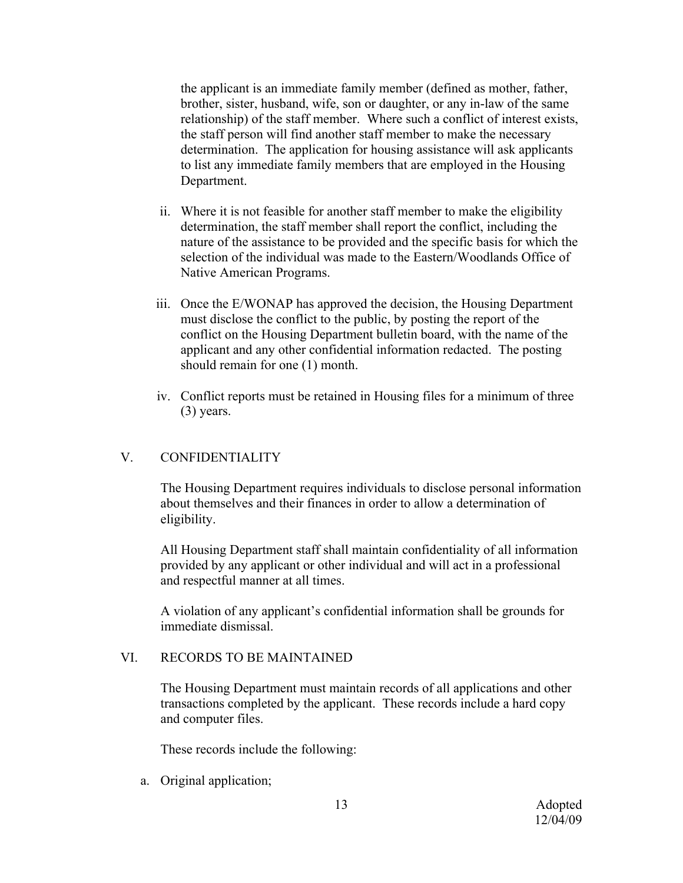the applicant is an immediate family member (defined as mother, father, brother, sister, husband, wife, son or daughter, or any in-law of the same relationship) of the staff member. Where such a conflict of interest exists, the staff person will find another staff member to make the necessary determination. The application for housing assistance will ask applicants to list any immediate family members that are employed in the Housing Department.

- ii. Where it is not feasible for another staff member to make the eligibility determination, the staff member shall report the conflict, including the nature of the assistance to be provided and the specific basis for which the selection of the individual was made to the Eastern/Woodlands Office of Native American Programs.
- iii. Once the E/WONAP has approved the decision, the Housing Department must disclose the conflict to the public, by posting the report of the conflict on the Housing Department bulletin board, with the name of the applicant and any other confidential information redacted. The posting should remain for one (1) month.
- iv. Conflict reports must be retained in Housing files for a minimum of three (3) years.

## V. CONFIDENTIALITY

The Housing Department requires individuals to disclose personal information about themselves and their finances in order to allow a determination of eligibility.

All Housing Department staff shall maintain confidentiality of all information provided by any applicant or other individual and will act in a professional and respectful manner at all times.

A violation of any applicant's confidential information shall be grounds for immediate dismissal.

### VI. RECORDS TO BE MAINTAINED

The Housing Department must maintain records of all applications and other transactions completed by the applicant. These records include a hard copy and computer files.

These records include the following:

a. Original application;